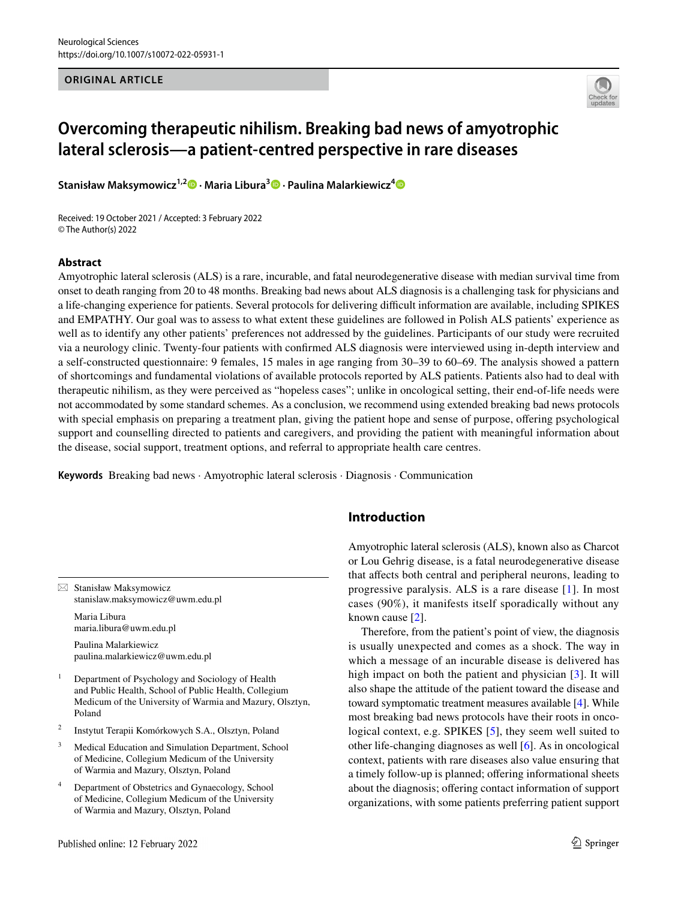### **ORIGINAL ARTICLE**



# **Overcoming therapeutic nihilism. Breaking bad news of amyotrophic lateral sclerosis—a patient‑centred perspective in rare diseases**

**Stanisław Maksymowicz1,2 · Maria Libura3 · Paulina Malarkiewicz[4](http://orcid.org/0000-0002-7677-3910)**

Received: 19 October 2021 / Accepted: 3 February 2022 © The Author(s) 2022

### **Abstract**

Amyotrophic lateral sclerosis (ALS) is a rare, incurable, and fatal neurodegenerative disease with median survival time from onset to death ranging from 20 to 48 months. Breaking bad news about ALS diagnosis is a challenging task for physicians and a life-changing experience for patients. Several protocols for delivering difcult information are available, including SPIKES and EMPATHY. Our goal was to assess to what extent these guidelines are followed in Polish ALS patients' experience as well as to identify any other patients' preferences not addressed by the guidelines. Participants of our study were recruited via a neurology clinic. Twenty-four patients with confrmed ALS diagnosis were interviewed using in-depth interview and a self-constructed questionnaire: 9 females, 15 males in age ranging from 30–39 to 60–69. The analysis showed a pattern of shortcomings and fundamental violations of available protocols reported by ALS patients. Patients also had to deal with therapeutic nihilism, as they were perceived as "hopeless cases"; unlike in oncological setting, their end-of-life needs were not accommodated by some standard schemes. As a conclusion, we recommend using extended breaking bad news protocols with special emphasis on preparing a treatment plan, giving the patient hope and sense of purpose, offering psychological support and counselling directed to patients and caregivers, and providing the patient with meaningful information about the disease, social support, treatment options, and referral to appropriate health care centres.

**Keywords** Breaking bad news · Amyotrophic lateral sclerosis · Diagnosis · Communication

 $\boxtimes$  Stanisław Maksymowicz stanislaw.maksymowicz@uwm.edu.pl

Maria Libura maria.libura@uwm.edu.pl

Paulina Malarkiewicz paulina.malarkiewicz@uwm.edu.pl

<sup>1</sup> Department of Psychology and Sociology of Health and Public Health, School of Public Health, Collegium Medicum of the University of Warmia and Mazury, Olsztyn, Poland

- <sup>2</sup> Instytut Terapii Komórkowych S.A., Olsztyn, Poland
- <sup>3</sup> Medical Education and Simulation Department, School of Medicine, Collegium Medicum of the University of Warmia and Mazury, Olsztyn, Poland
- Department of Obstetrics and Gynaecology, School of Medicine, Collegium Medicum of the University of Warmia and Mazury, Olsztyn, Poland

## **Introduction**

Amyotrophic lateral sclerosis (ALS), known also as Charcot or Lou Gehrig disease, is a fatal neurodegenerative disease that afects both central and peripheral neurons, leading to progressive paralysis. ALS is a rare disease [[1\]](#page-7-0). In most cases (90%), it manifests itself sporadically without any known cause [\[2](#page-7-1)].

Therefore, from the patient's point of view, the diagnosis is usually unexpected and comes as a shock. The way in which a message of an incurable disease is delivered has high impact on both the patient and physician [\[3\]](#page-7-2). It will also shape the attitude of the patient toward the disease and toward symptomatic treatment measures available [\[4](#page-7-3)]. While most breaking bad news protocols have their roots in onco-logical context, e.g. SPIKES [\[5\]](#page-7-4), they seem well suited to other life-changing diagnoses as well [\[6](#page-7-5)]. As in oncological context, patients with rare diseases also value ensuring that a timely follow-up is planned; ofering informational sheets about the diagnosis; offering contact information of support organizations, with some patients preferring patient support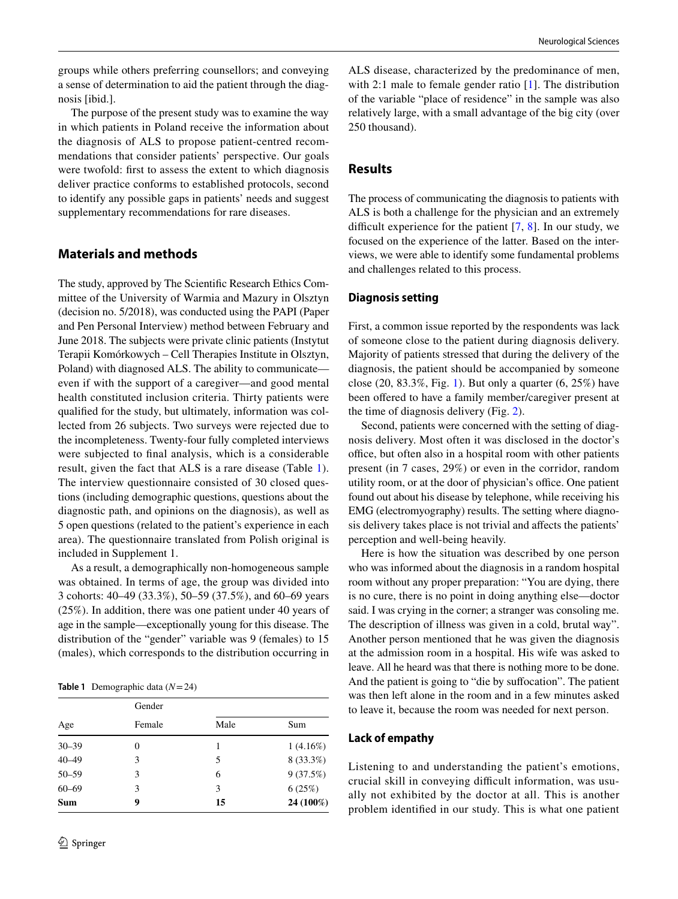groups while others preferring counsellors; and conveying a sense of determination to aid the patient through the diagnosis [ibid.].

The purpose of the present study was to examine the way in which patients in Poland receive the information about the diagnosis of ALS to propose patient-centred recommendations that consider patients' perspective. Our goals were twofold: frst to assess the extent to which diagnosis deliver practice conforms to established protocols, second to identify any possible gaps in patients' needs and suggest supplementary recommendations for rare diseases.

## **Materials and methods**

The study, approved by The Scientifc Research Ethics Committee of the University of Warmia and Mazury in Olsztyn (decision no. 5/2018), was conducted using the PAPI (Paper and Pen Personal Interview) method between February and June 2018. The subjects were private clinic patients (Instytut Terapii Komórkowych – Cell Therapies Institute in Olsztyn, Poland) with diagnosed ALS. The ability to communicate even if with the support of a caregiver—and good mental health constituted inclusion criteria. Thirty patients were qualifed for the study, but ultimately, information was collected from 26 subjects. Two surveys were rejected due to the incompleteness. Twenty-four fully completed interviews were subjected to fnal analysis, which is a considerable result, given the fact that ALS is a rare disease (Table [1](#page-1-0)). The interview questionnaire consisted of 30 closed questions (including demographic questions, questions about the diagnostic path, and opinions on the diagnosis), as well as 5 open questions (related to the patient's experience in each area). The questionnaire translated from Polish original is included in Supplement 1.

As a result, a demographically non-homogeneous sample was obtained. In terms of age, the group was divided into 3 cohorts: 40–49 (33.3%), 50–59 (37.5%), and 60–69 years (25%). In addition, there was one patient under 40 years of age in the sample—exceptionally young for this disease. The distribution of the "gender" variable was 9 (females) to 15 (males), which corresponds to the distribution occurring in

<span id="page-1-0"></span>**Table 1** Demographic data (*N*=24)

| Age       | Gender<br>Female | Male | Sum       |
|-----------|------------------|------|-----------|
|           |                  |      |           |
| $40 - 49$ | 3                | 5    | 8 (33.3%) |
| $50 - 59$ | 3                | 6    | 9(37.5%)  |
| $60 - 69$ | 3                | 3    | 6(25%)    |
| Sum       | 9                | 15   | 24 (100%) |

ALS disease, characterized by the predominance of men, with 2:1 male to female gender ratio [[1\]](#page-7-0). The distribution of the variable "place of residence" in the sample was also relatively large, with a small advantage of the big city (over 250 thousand).

## **Results**

The process of communicating the diagnosis to patients with ALS is both a challenge for the physician and an extremely difficult experience for the patient  $[7, 8]$  $[7, 8]$  $[7, 8]$ . In our study, we focused on the experience of the latter. Based on the interviews, we were able to identify some fundamental problems and challenges related to this process.

### **Diagnosis setting**

First, a common issue reported by the respondents was lack of someone close to the patient during diagnosis delivery. Majority of patients stressed that during the delivery of the diagnosis, the patient should be accompanied by someone close (20, 83.3%, Fig. [1\)](#page-2-0). But only a quarter (6, 25%) have been offered to have a family member/caregiver present at the time of diagnosis delivery (Fig. [2](#page-2-1)).

Second, patients were concerned with the setting of diagnosis delivery. Most often it was disclosed in the doctor's office, but often also in a hospital room with other patients present (in 7 cases, 29%) or even in the corridor, random utility room, or at the door of physician's office. One patient found out about his disease by telephone, while receiving his EMG (electromyography) results. The setting where diagnosis delivery takes place is not trivial and afects the patients' perception and well-being heavily.

Here is how the situation was described by one person who was informed about the diagnosis in a random hospital room without any proper preparation: "You are dying, there is no cure, there is no point in doing anything else—doctor said. I was crying in the corner; a stranger was consoling me. The description of illness was given in a cold, brutal way". Another person mentioned that he was given the diagnosis at the admission room in a hospital. His wife was asked to leave. All he heard was that there is nothing more to be done. And the patient is going to "die by sufocation". The patient was then left alone in the room and in a few minutes asked to leave it, because the room was needed for next person.

#### **Lack of empathy**

Listening to and understanding the patient's emotions, crucial skill in conveying difficult information, was usually not exhibited by the doctor at all. This is another problem identifed in our study. This is what one patient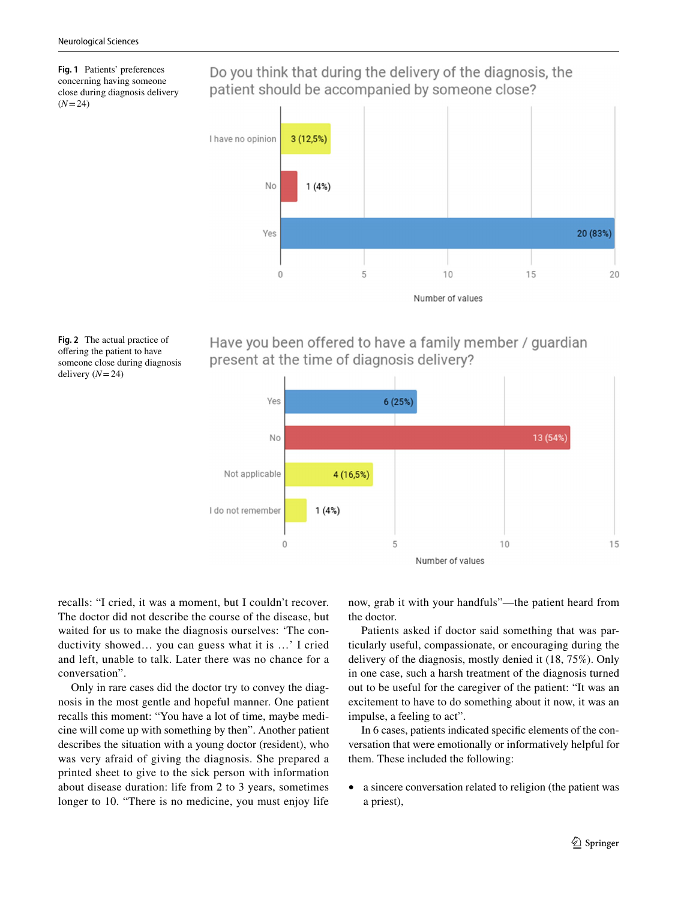<span id="page-2-0"></span>**Fig. 1** Patients' preferences concerning having someone close during diagnosis delivery  $(N=24)$ 

Do you think that during the delivery of the diagnosis, the patient should be accompanied by someone close?



<span id="page-2-1"></span>

## Have you been offered to have a family member / guardian present at the time of diagnosis delivery?



recalls: "I cried, it was a moment, but I couldn't recover. The doctor did not describe the course of the disease, but waited for us to make the diagnosis ourselves: 'The conductivity showed… you can guess what it is …' I cried and left, unable to talk. Later there was no chance for a conversation".

Only in rare cases did the doctor try to convey the diagnosis in the most gentle and hopeful manner. One patient recalls this moment: "You have a lot of time, maybe medicine will come up with something by then". Another patient describes the situation with a young doctor (resident), who was very afraid of giving the diagnosis. She prepared a printed sheet to give to the sick person with information about disease duration: life from 2 to 3 years, sometimes longer to 10. "There is no medicine, you must enjoy life now, grab it with your handfuls"—the patient heard from the doctor.

Patients asked if doctor said something that was particularly useful, compassionate, or encouraging during the delivery of the diagnosis, mostly denied it (18, 75%). Only in one case, such a harsh treatment of the diagnosis turned out to be useful for the caregiver of the patient: "It was an excitement to have to do something about it now, it was an impulse, a feeling to act".

In 6 cases, patients indicated specifc elements of the conversation that were emotionally or informatively helpful for them. These included the following:

• a sincere conversation related to religion (the patient was a priest),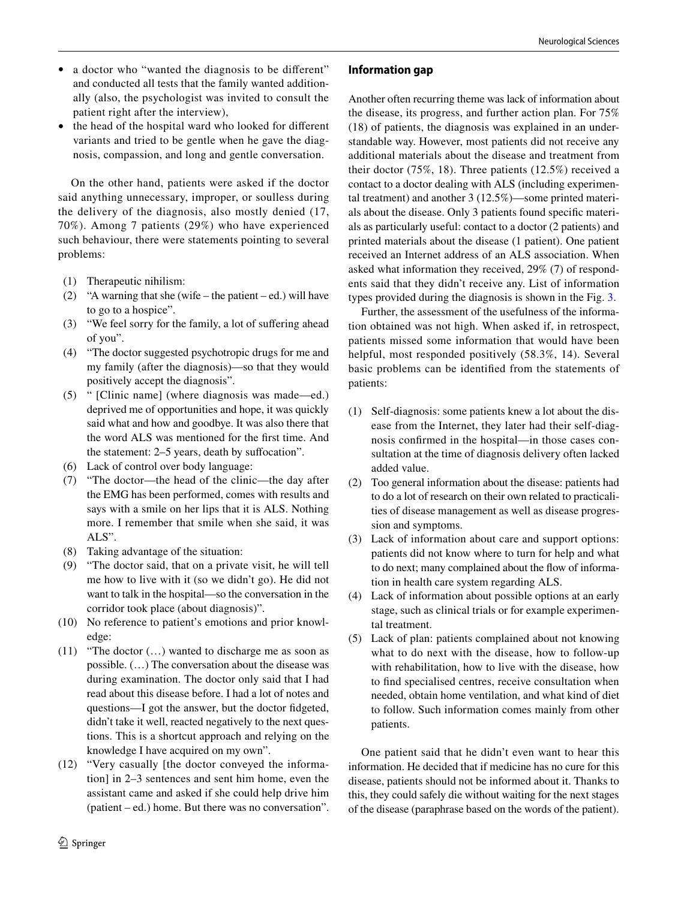- a doctor who "wanted the diagnosis to be different" and conducted all tests that the family wanted additionally (also, the psychologist was invited to consult the patient right after the interview),
- the head of the hospital ward who looked for different variants and tried to be gentle when he gave the diagnosis, compassion, and long and gentle conversation.

On the other hand, patients were asked if the doctor said anything unnecessary, improper, or soulless during the delivery of the diagnosis, also mostly denied (17, 70%). Among 7 patients (29%) who have experienced such behaviour, there were statements pointing to several problems:

- (1) Therapeutic nihilism:
- (2) "A warning that she (wife the patient ed.) will have to go to a hospice".
- (3) "We feel sorry for the family, a lot of sufering ahead of you".
- (4) "The doctor suggested psychotropic drugs for me and my family (after the diagnosis)—so that they would positively accept the diagnosis".
- (5) " [Clinic name] (where diagnosis was made—ed.) deprived me of opportunities and hope, it was quickly said what and how and goodbye. It was also there that the word ALS was mentioned for the frst time. And the statement: 2–5 years, death by suffocation".
- (6) Lack of control over body language:
- (7) "The doctor—the head of the clinic—the day after the EMG has been performed, comes with results and says with a smile on her lips that it is ALS. Nothing more. I remember that smile when she said, it was ALS".
- (8) Taking advantage of the situation:
- (9) "The doctor said, that on a private visit, he will tell me how to live with it (so we didn't go). He did not want to talk in the hospital—so the conversation in the corridor took place (about diagnosis)".
- (10) No reference to patient's emotions and prior knowledge:
- (11) "The doctor (…) wanted to discharge me as soon as possible. (…) The conversation about the disease was during examination. The doctor only said that I had read about this disease before. I had a lot of notes and questions—I got the answer, but the doctor fdgeted, didn't take it well, reacted negatively to the next questions. This is a shortcut approach and relying on the knowledge I have acquired on my own".
- (12) "Very casually [the doctor conveyed the information] in 2–3 sentences and sent him home, even the assistant came and asked if she could help drive him (patient – ed.) home. But there was no conversation".

## **Information gap**

Another often recurring theme was lack of information about the disease, its progress, and further action plan. For 75% (18) of patients, the diagnosis was explained in an understandable way. However, most patients did not receive any additional materials about the disease and treatment from their doctor (75%, 18). Three patients (12.5%) received a contact to a doctor dealing with ALS (including experimental treatment) and another 3 (12.5%)—some printed materials about the disease. Only 3 patients found specifc materials as particularly useful: contact to a doctor (2 patients) and printed materials about the disease (1 patient). One patient received an Internet address of an ALS association. When asked what information they received, 29% (7) of respondents said that they didn't receive any. List of information types provided during the diagnosis is shown in the Fig. [3.](#page-4-0)

Further, the assessment of the usefulness of the information obtained was not high. When asked if, in retrospect, patients missed some information that would have been helpful, most responded positively (58.3%, 14). Several basic problems can be identifed from the statements of patients:

- (1) Self-diagnosis: some patients knew a lot about the disease from the Internet, they later had their self-diagnosis confrmed in the hospital—in those cases consultation at the time of diagnosis delivery often lacked added value.
- (2) Too general information about the disease: patients had to do a lot of research on their own related to practicalities of disease management as well as disease progression and symptoms.
- (3) Lack of information about care and support options: patients did not know where to turn for help and what to do next; many complained about the flow of information in health care system regarding ALS.
- (4) Lack of information about possible options at an early stage, such as clinical trials or for example experimental treatment.
- (5) Lack of plan: patients complained about not knowing what to do next with the disease, how to follow-up with rehabilitation, how to live with the disease, how to fnd specialised centres, receive consultation when needed, obtain home ventilation, and what kind of diet to follow. Such information comes mainly from other patients.

One patient said that he didn't even want to hear this information. He decided that if medicine has no cure for this disease, patients should not be informed about it. Thanks to this, they could safely die without waiting for the next stages of the disease (paraphrase based on the words of the patient).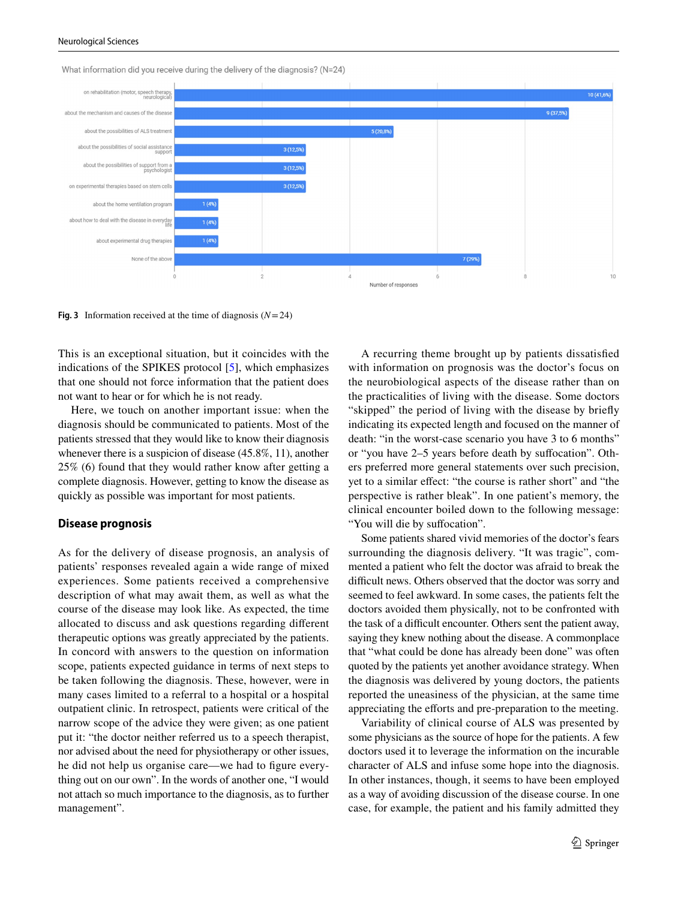

What information did you receive during the delivery of the diagnosis? (N=24)

<span id="page-4-0"></span>**Fig.** 3 Information received at the time of diagnosis  $(N=24)$ 

This is an exceptional situation, but it coincides with the indications of the SPIKES protocol [\[5](#page-7-4)], which emphasizes that one should not force information that the patient does not want to hear or for which he is not ready.

Here, we touch on another important issue: when the diagnosis should be communicated to patients. Most of the patients stressed that they would like to know their diagnosis whenever there is a suspicion of disease (45.8%, 11), another 25% (6) found that they would rather know after getting a complete diagnosis. However, getting to know the disease as quickly as possible was important for most patients.

#### **Disease prognosis**

As for the delivery of disease prognosis, an analysis of patients' responses revealed again a wide range of mixed experiences. Some patients received a comprehensive description of what may await them, as well as what the course of the disease may look like. As expected, the time allocated to discuss and ask questions regarding diferent therapeutic options was greatly appreciated by the patients. In concord with answers to the question on information scope, patients expected guidance in terms of next steps to be taken following the diagnosis. These, however, were in many cases limited to a referral to a hospital or a hospital outpatient clinic. In retrospect, patients were critical of the narrow scope of the advice they were given; as one patient put it: "the doctor neither referred us to a speech therapist, nor advised about the need for physiotherapy or other issues, he did not help us organise care—we had to figure everything out on our own". In the words of another one, "I would not attach so much importance to the diagnosis, as to further management".

A recurring theme brought up by patients dissatisfed with information on prognosis was the doctor's focus on the neurobiological aspects of the disease rather than on the practicalities of living with the disease. Some doctors "skipped" the period of living with the disease by briefy indicating its expected length and focused on the manner of death: "in the worst-case scenario you have 3 to 6 months" or "you have 2–5 years before death by sufocation". Others preferred more general statements over such precision, yet to a similar efect: "the course is rather short" and "the perspective is rather bleak". In one patient's memory, the clinical encounter boiled down to the following message: "You will die by sufocation".

Some patients shared vivid memories of the doctor's fears surrounding the diagnosis delivery. "It was tragic", commented a patient who felt the doctor was afraid to break the difficult news. Others observed that the doctor was sorry and seemed to feel awkward. In some cases, the patients felt the doctors avoided them physically, not to be confronted with the task of a difficult encounter. Others sent the patient away, saying they knew nothing about the disease. A commonplace that "what could be done has already been done" was often quoted by the patients yet another avoidance strategy. When the diagnosis was delivered by young doctors, the patients reported the uneasiness of the physician, at the same time appreciating the efforts and pre-preparation to the meeting.

Variability of clinical course of ALS was presented by some physicians as the source of hope for the patients. A few doctors used it to leverage the information on the incurable character of ALS and infuse some hope into the diagnosis. In other instances, though, it seems to have been employed as a way of avoiding discussion of the disease course. In one case, for example, the patient and his family admitted they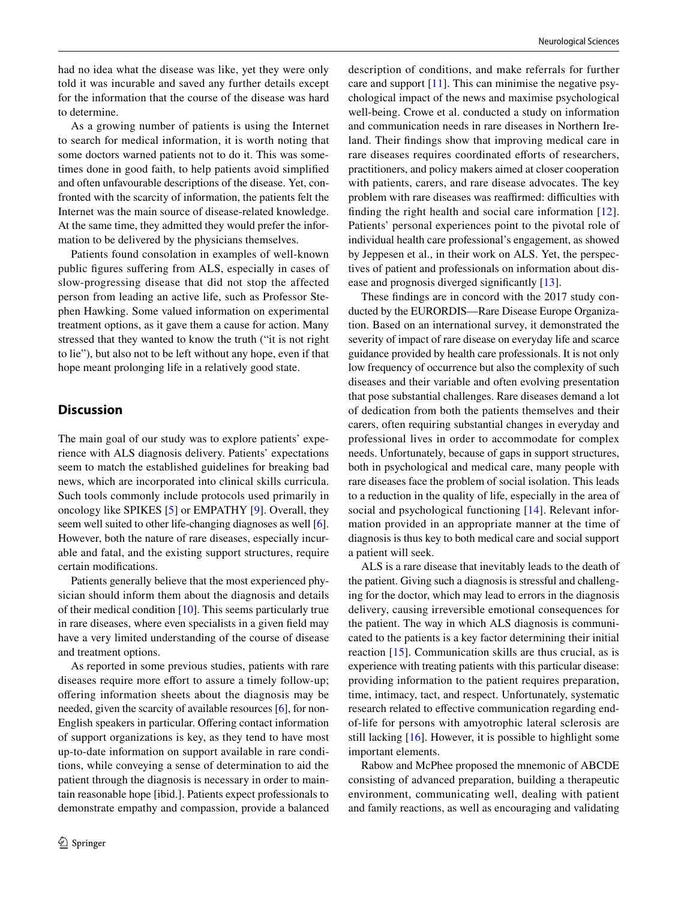had no idea what the disease was like, yet they were only told it was incurable and saved any further details except for the information that the course of the disease was hard to determine.

As a growing number of patients is using the Internet to search for medical information, it is worth noting that some doctors warned patients not to do it. This was sometimes done in good faith, to help patients avoid simplifed and often unfavourable descriptions of the disease. Yet, confronted with the scarcity of information, the patients felt the Internet was the main source of disease-related knowledge. At the same time, they admitted they would prefer the information to be delivered by the physicians themselves.

Patients found consolation in examples of well-known public fgures sufering from ALS, especially in cases of slow-progressing disease that did not stop the affected person from leading an active life, such as Professor Stephen Hawking. Some valued information on experimental treatment options, as it gave them a cause for action. Many stressed that they wanted to know the truth ("it is not right to lie"), but also not to be left without any hope, even if that hope meant prolonging life in a relatively good state.

## **Discussion**

The main goal of our study was to explore patients' experience with ALS diagnosis delivery. Patients' expectations seem to match the established guidelines for breaking bad news, which are incorporated into clinical skills curricula. Such tools commonly include protocols used primarily in oncology like SPIKES [\[5](#page-7-4)] or EMPATHY [\[9](#page-7-8)]. Overall, they seem well suited to other life-changing diagnoses as well [\[6](#page-7-5)]. However, both the nature of rare diseases, especially incurable and fatal, and the existing support structures, require certain modifcations.

Patients generally believe that the most experienced physician should inform them about the diagnosis and details of their medical condition [[10\]](#page-7-9). This seems particularly true in rare diseases, where even specialists in a given feld may have a very limited understanding of the course of disease and treatment options.

As reported in some previous studies, patients with rare diseases require more effort to assure a timely follow-up; ofering information sheets about the diagnosis may be needed, given the scarcity of available resources [[6\]](#page-7-5), for non-English speakers in particular. Ofering contact information of support organizations is key, as they tend to have most up-to-date information on support available in rare conditions, while conveying a sense of determination to aid the patient through the diagnosis is necessary in order to maintain reasonable hope [ibid.]. Patients expect professionals to demonstrate empathy and compassion, provide a balanced description of conditions, and make referrals for further care and support  $[11]$  $[11]$ . This can minimise the negative psychological impact of the news and maximise psychological well-being. Crowe et al. conducted a study on information and communication needs in rare diseases in Northern Ireland. Their fndings show that improving medical care in rare diseases requires coordinated eforts of researchers, practitioners, and policy makers aimed at closer cooperation with patients, carers, and rare disease advocates. The key problem with rare diseases was reaffirmed: difficulties with finding the right health and social care information  $[12]$  $[12]$  $[12]$ . Patients' personal experiences point to the pivotal role of individual health care professional's engagement, as showed by Jeppesen et al., in their work on ALS. Yet, the perspectives of patient and professionals on information about disease and prognosis diverged signifcantly [[13\]](#page-7-12).

These fndings are in concord with the 2017 study conducted by the EURORDIS—Rare Disease Europe Organization. Based on an international survey, it demonstrated the severity of impact of rare disease on everyday life and scarce guidance provided by health care professionals. It is not only low frequency of occurrence but also the complexity of such diseases and their variable and often evolving presentation that pose substantial challenges. Rare diseases demand a lot of dedication from both the patients themselves and their carers, often requiring substantial changes in everyday and professional lives in order to accommodate for complex needs. Unfortunately, because of gaps in support structures, both in psychological and medical care, many people with rare diseases face the problem of social isolation. This leads to a reduction in the quality of life, especially in the area of social and psychological functioning [[14\]](#page-7-13). Relevant information provided in an appropriate manner at the time of diagnosis is thus key to both medical care and social support a patient will seek.

ALS is a rare disease that inevitably leads to the death of the patient. Giving such a diagnosis is stressful and challenging for the doctor, which may lead to errors in the diagnosis delivery, causing irreversible emotional consequences for the patient. The way in which ALS diagnosis is communicated to the patients is a key factor determining their initial reaction [\[15\]](#page-7-14). Communication skills are thus crucial, as is experience with treating patients with this particular disease: providing information to the patient requires preparation, time, intimacy, tact, and respect. Unfortunately, systematic research related to effective communication regarding endof-life for persons with amyotrophic lateral sclerosis are still lacking [[16\]](#page-8-0). However, it is possible to highlight some important elements.

Rabow and McPhee proposed the mnemonic of ABCDE consisting of advanced preparation, building a therapeutic environment, communicating well, dealing with patient and family reactions, as well as encouraging and validating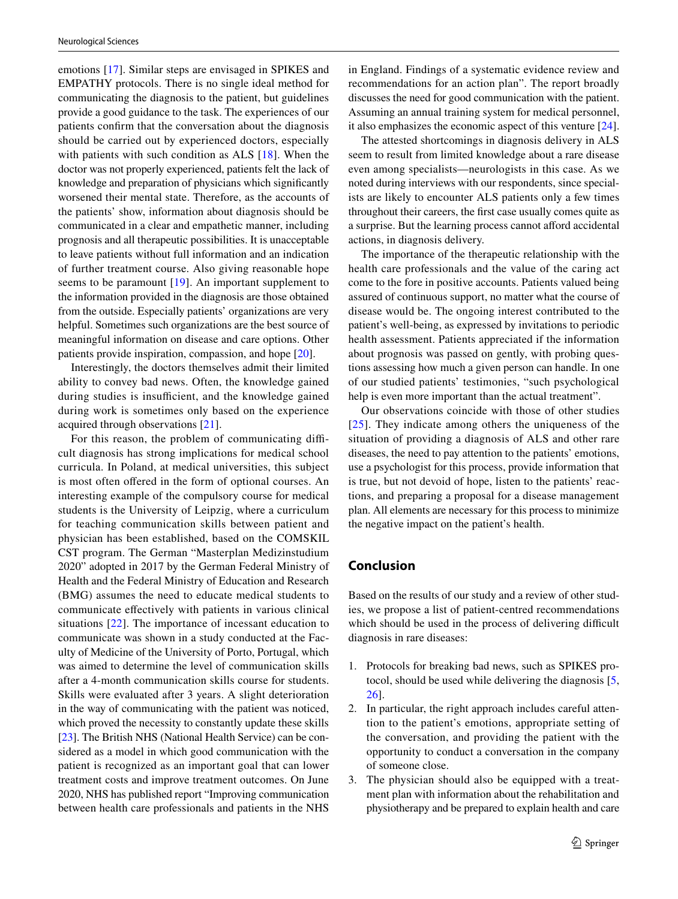emotions [\[17\]](#page-8-1). Similar steps are envisaged in SPIKES and EMPATHY protocols. There is no single ideal method for communicating the diagnosis to the patient, but guidelines provide a good guidance to the task. The experiences of our patients confrm that the conversation about the diagnosis should be carried out by experienced doctors, especially with patients with such condition as ALS [[18](#page-8-2)]. When the doctor was not properly experienced, patients felt the lack of knowledge and preparation of physicians which signifcantly worsened their mental state. Therefore, as the accounts of the patients' show, information about diagnosis should be communicated in a clear and empathetic manner, including prognosis and all therapeutic possibilities. It is unacceptable to leave patients without full information and an indication of further treatment course. Also giving reasonable hope seems to be paramount [[19](#page-8-3)]. An important supplement to the information provided in the diagnosis are those obtained from the outside. Especially patients' organizations are very helpful. Sometimes such organizations are the best source of meaningful information on disease and care options. Other patients provide inspiration, compassion, and hope [\[20\]](#page-8-4).

Interestingly, the doctors themselves admit their limited ability to convey bad news. Often, the knowledge gained during studies is insufficient, and the knowledge gained during work is sometimes only based on the experience acquired through observations [[21](#page-8-5)].

For this reason, the problem of communicating difficult diagnosis has strong implications for medical school curricula. In Poland, at medical universities, this subject is most often offered in the form of optional courses. An interesting example of the compulsory course for medical students is the University of Leipzig, where a curriculum for teaching communication skills between patient and physician has been established, based on the COMSKIL CST program. The German "Masterplan Medizinstudium 2020" adopted in 2017 by the German Federal Ministry of Health and the Federal Ministry of Education and Research (BMG) assumes the need to educate medical students to communicate efectively with patients in various clinical situations [\[22\]](#page-8-6). The importance of incessant education to communicate was shown in a study conducted at the Faculty of Medicine of the University of Porto, Portugal, which was aimed to determine the level of communication skills after a 4-month communication skills course for students. Skills were evaluated after 3 years. A slight deterioration in the way of communicating with the patient was noticed, which proved the necessity to constantly update these skills [\[23](#page-8-7)]. The British NHS (National Health Service) can be considered as a model in which good communication with the patient is recognized as an important goal that can lower treatment costs and improve treatment outcomes. On June 2020, NHS has published report "Improving communication between health care professionals and patients in the NHS in England. Findings of a systematic evidence review and recommendations for an action plan". The report broadly discusses the need for good communication with the patient. Assuming an annual training system for medical personnel, it also emphasizes the economic aspect of this venture [\[24](#page-8-8)].

The attested shortcomings in diagnosis delivery in ALS seem to result from limited knowledge about a rare disease even among specialists—neurologists in this case. As we noted during interviews with our respondents, since specialists are likely to encounter ALS patients only a few times throughout their careers, the frst case usually comes quite as a surprise. But the learning process cannot aford accidental actions, in diagnosis delivery.

The importance of the therapeutic relationship with the health care professionals and the value of the caring act come to the fore in positive accounts. Patients valued being assured of continuous support, no matter what the course of disease would be. The ongoing interest contributed to the patient's well-being, as expressed by invitations to periodic health assessment. Patients appreciated if the information about prognosis was passed on gently, with probing questions assessing how much a given person can handle. In one of our studied patients' testimonies, "such psychological help is even more important than the actual treatment".

Our observations coincide with those of other studies [[25](#page-8-9)]. They indicate among others the uniqueness of the situation of providing a diagnosis of ALS and other rare diseases, the need to pay attention to the patients' emotions, use a psychologist for this process, provide information that is true, but not devoid of hope, listen to the patients' reactions, and preparing a proposal for a disease management plan. All elements are necessary for this process to minimize the negative impact on the patient's health.

## **Conclusion**

Based on the results of our study and a review of other studies, we propose a list of patient-centred recommendations which should be used in the process of delivering difficult diagnosis in rare diseases:

- 1. Protocols for breaking bad news, such as SPIKES protocol, should be used while delivering the diagnosis [[5,](#page-7-4) [26](#page-8-10)].
- 2. In particular, the right approach includes careful attention to the patient's emotions, appropriate setting of the conversation, and providing the patient with the opportunity to conduct a conversation in the company of someone close.
- 3. The physician should also be equipped with a treatment plan with information about the rehabilitation and physiotherapy and be prepared to explain health and care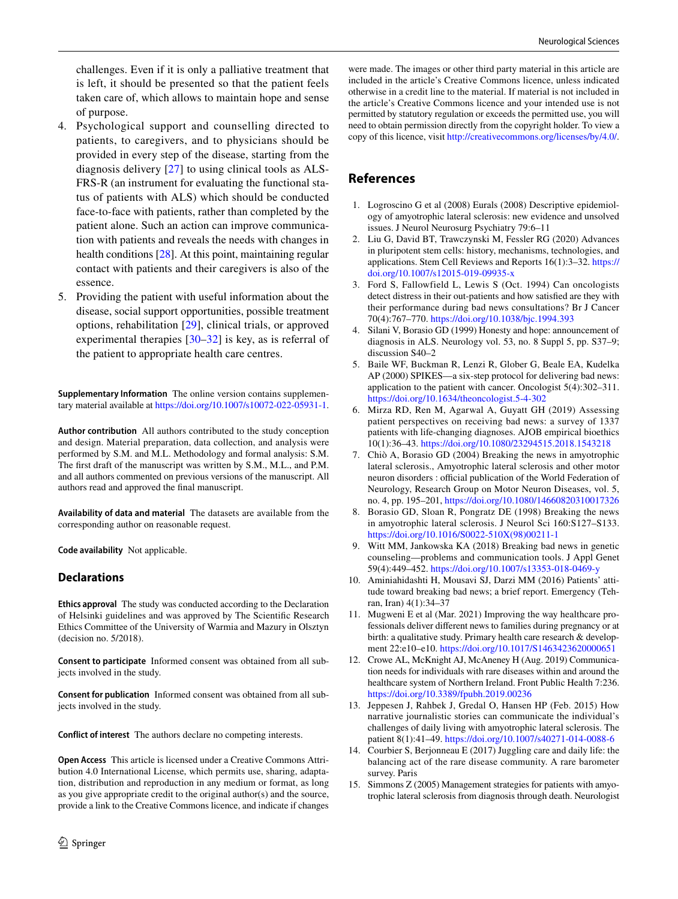challenges. Even if it is only a palliative treatment that is left, it should be presented so that the patient feels taken care of, which allows to maintain hope and sense of purpose.

- 4. Psychological support and counselling directed to patients, to caregivers, and to physicians should be provided in every step of the disease, starting from the diagnosis delivery [[27](#page-8-11)] to using clinical tools as ALS-FRS-R (an instrument for evaluating the functional status of patients with ALS) which should be conducted face-to-face with patients, rather than completed by the patient alone. Such an action can improve communication with patients and reveals the needs with changes in health conditions [\[28\]](#page-8-12). At this point, maintaining regular contact with patients and their caregivers is also of the essence.
- 5. Providing the patient with useful information about the disease, social support opportunities, possible treatment options, rehabilitation [[29](#page-8-13)], clinical trials, or approved experimental therapies [\[30](#page-8-14)–[32\]](#page-8-15) is key, as is referral of the patient to appropriate health care centres.

**Supplementary Information** The online version contains supplementary material available at<https://doi.org/10.1007/s10072-022-05931-1>.

**Author contribution** All authors contributed to the study conception and design. Material preparation, data collection, and analysis were performed by S.M. and M.L. Methodology and formal analysis: S.M. The frst draft of the manuscript was written by S.M., M.L., and P.M. and all authors commented on previous versions of the manuscript. All authors read and approved the fnal manuscript.

**Availability of data and material** The datasets are available from the corresponding author on reasonable request.

**Code availability** Not applicable.

#### **Declarations**

**Ethics approval** The study was conducted according to the Declaration of Helsinki guidelines and was approved by The Scientifc Research Ethics Committee of the University of Warmia and Mazury in Olsztyn (decision no. 5/2018).

**Consent to participate** Informed consent was obtained from all subjects involved in the study.

**Consent for publication** Informed consent was obtained from all subjects involved in the study.

**Conflict of interest** The authors declare no competing interests.

**Open Access** This article is licensed under a Creative Commons Attribution 4.0 International License, which permits use, sharing, adaptation, distribution and reproduction in any medium or format, as long as you give appropriate credit to the original author(s) and the source, provide a link to the Creative Commons licence, and indicate if changes

were made. The images or other third party material in this article are included in the article's Creative Commons licence, unless indicated otherwise in a credit line to the material. If material is not included in the article's Creative Commons licence and your intended use is not permitted by statutory regulation or exceeds the permitted use, you will need to obtain permission directly from the copyright holder. To view a copy of this licence, visit<http://creativecommons.org/licenses/by/4.0/>.

## **References**

- <span id="page-7-0"></span>1. Logroscino G et al (2008) Eurals (2008) Descriptive epidemiology of amyotrophic lateral sclerosis: new evidence and unsolved issues. J Neurol Neurosurg Psychiatry 79:6–11
- <span id="page-7-1"></span>2. Liu G, David BT, Trawczynski M, Fessler RG (2020) Advances in pluripotent stem cells: history, mechanisms, technologies, and applications. Stem Cell Reviews and Reports 16(1):3–32. [https://](https://doi.org/10.1007/s12015-019-09935-x) [doi.org/10.1007/s12015-019-09935-x](https://doi.org/10.1007/s12015-019-09935-x)
- <span id="page-7-2"></span>3. Ford S, Fallowfield L, Lewis S (Oct. 1994) Can oncologists detect distress in their out-patients and how satisfed are they with their performance during bad news consultations? Br J Cancer 70(4):767–770.<https://doi.org/10.1038/bjc.1994.393>
- <span id="page-7-3"></span>4. Silani V, Borasio GD (1999) Honesty and hope: announcement of diagnosis in ALS. Neurology vol. 53, no. 8 Suppl 5, pp. S37–9; discussion S40–2
- <span id="page-7-4"></span>5. Baile WF, Buckman R, Lenzi R, Glober G, Beale EA, Kudelka AP (2000) SPIKES—a six-step protocol for delivering bad news: application to the patient with cancer. Oncologist 5(4):302–311. <https://doi.org/10.1634/theoncologist.5-4-302>
- <span id="page-7-5"></span>6. Mirza RD, Ren M, Agarwal A, Guyatt GH (2019) Assessing patient perspectives on receiving bad news: a survey of 1337 patients with life-changing diagnoses. AJOB empirical bioethics 10(1):36–43. <https://doi.org/10.1080/23294515.2018.1543218>
- <span id="page-7-6"></span>7. Chiò A, Borasio GD (2004) Breaking the news in amyotrophic lateral sclerosis., Amyotrophic lateral sclerosis and other motor neuron disorders : official publication of the World Federation of Neurology, Research Group on Motor Neuron Diseases, vol. 5, no. 4, pp. 195–201, <https://doi.org/10.1080/14660820310017326>
- <span id="page-7-7"></span>8. Borasio GD, Sloan R, Pongratz DE (1998) Breaking the news in amyotrophic lateral sclerosis. J Neurol Sci 160:S127–S133. [https://doi.org/10.1016/S0022-510X\(98\)00211-1](https://doi.org/10.1016/S0022-510X(98)00211-1)
- <span id="page-7-8"></span>9. Witt MM, Jankowska KA (2018) Breaking bad news in genetic counseling—problems and communication tools. J Appl Genet 59(4):449–452.<https://doi.org/10.1007/s13353-018-0469-y>
- <span id="page-7-9"></span>10. Aminiahidashti H, Mousavi SJ, Darzi MM (2016) Patients' attitude toward breaking bad news; a brief report. Emergency (Tehran, Iran) 4(1):34–37
- <span id="page-7-10"></span>11. Mugweni E et al (Mar. 2021) Improving the way healthcare professionals deliver diferent news to families during pregnancy or at birth: a qualitative study. Primary health care research & development 22:e10–e10. <https://doi.org/10.1017/S1463423620000651>
- <span id="page-7-11"></span>12. Crowe AL, McKnight AJ, McAneney H (Aug. 2019) Communication needs for individuals with rare diseases within and around the healthcare system of Northern Ireland. Front Public Health 7:236. <https://doi.org/10.3389/fpubh.2019.00236>
- <span id="page-7-12"></span>13. Jeppesen J, Rahbek J, Gredal O, Hansen HP (Feb. 2015) How narrative journalistic stories can communicate the individual's challenges of daily living with amyotrophic lateral sclerosis. The patient 8(1):41–49.<https://doi.org/10.1007/s40271-014-0088-6>
- <span id="page-7-13"></span>14. Courbier S, Berjonneau E (2017) Juggling care and daily life: the balancing act of the rare disease community. A rare barometer survey. Paris
- <span id="page-7-14"></span>15. Simmons Z (2005) Management strategies for patients with amyotrophic lateral sclerosis from diagnosis through death. Neurologist